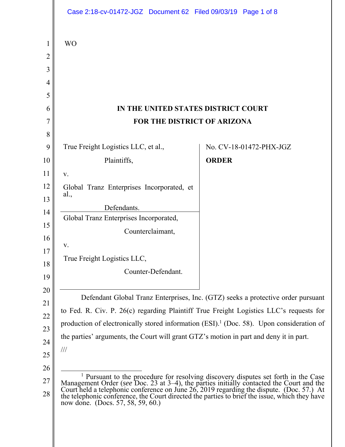|          | Case 2:18-cv-01472-JGZ Document 62 Filed 09/03/19 Page 1 of 8                                                                                                                                                                                                                                                                                                                                                               |                         |
|----------|-----------------------------------------------------------------------------------------------------------------------------------------------------------------------------------------------------------------------------------------------------------------------------------------------------------------------------------------------------------------------------------------------------------------------------|-------------------------|
| 1<br>2   | <b>WO</b>                                                                                                                                                                                                                                                                                                                                                                                                                   |                         |
| 3        |                                                                                                                                                                                                                                                                                                                                                                                                                             |                         |
| 4        |                                                                                                                                                                                                                                                                                                                                                                                                                             |                         |
| 5        |                                                                                                                                                                                                                                                                                                                                                                                                                             |                         |
| 6        | IN THE UNITED STATES DISTRICT COURT                                                                                                                                                                                                                                                                                                                                                                                         |                         |
| 7        | FOR THE DISTRICT OF ARIZONA                                                                                                                                                                                                                                                                                                                                                                                                 |                         |
| 8        |                                                                                                                                                                                                                                                                                                                                                                                                                             |                         |
| 9        | True Freight Logistics LLC, et al.,                                                                                                                                                                                                                                                                                                                                                                                         | No. CV-18-01472-PHX-JGZ |
| 10       | Plaintiffs,                                                                                                                                                                                                                                                                                                                                                                                                                 | <b>ORDER</b>            |
| 11       | V.                                                                                                                                                                                                                                                                                                                                                                                                                          |                         |
| 12<br>13 | Global Tranz Enterprises Incorporated, et<br>al.,                                                                                                                                                                                                                                                                                                                                                                           |                         |
| 14       | Defendants.                                                                                                                                                                                                                                                                                                                                                                                                                 |                         |
| 15       | Global Tranz Enterprises Incorporated,                                                                                                                                                                                                                                                                                                                                                                                      |                         |
| 16       | Counterclaimant,                                                                                                                                                                                                                                                                                                                                                                                                            |                         |
| 17       | V.                                                                                                                                                                                                                                                                                                                                                                                                                          |                         |
| 18       | True Freight Logistics LLC,                                                                                                                                                                                                                                                                                                                                                                                                 |                         |
| 19       | Counter-Defendant.                                                                                                                                                                                                                                                                                                                                                                                                          |                         |
| 20       | Defendant Global Tranz Enterprises, Inc. (GTZ) seeks a protective order pursuant                                                                                                                                                                                                                                                                                                                                            |                         |
| 21<br>22 | to Fed. R. Civ. P. 26(c) regarding Plaintiff True Freight Logistics LLC's requests for                                                                                                                                                                                                                                                                                                                                      |                         |
| 23       | production of electronically stored information (ESI). <sup>1</sup> (Doc. 58). Upon consideration of                                                                                                                                                                                                                                                                                                                        |                         |
| 24       | the parties' arguments, the Court will grant GTZ's motion in part and deny it in part.                                                                                                                                                                                                                                                                                                                                      |                         |
| 25       | $\frac{1}{1}$                                                                                                                                                                                                                                                                                                                                                                                                               |                         |
| 26       |                                                                                                                                                                                                                                                                                                                                                                                                                             |                         |
| 27<br>28 | <sup>1</sup> Pursuant to the procedure for resolving discovery disputes set forth in the Case<br>Management Order (see Doc. 23 at $3-4$ ), the parties initially contacted the Court and the Court held a telephonic conference on June 26, 2019 regarding the dispute. (Doc. 57.) At<br>the telephonic conference, the Court directed the parties to brief the issue, which they have<br>now done. (Docs. 57, 58, 59, 60.) |                         |
|          |                                                                                                                                                                                                                                                                                                                                                                                                                             |                         |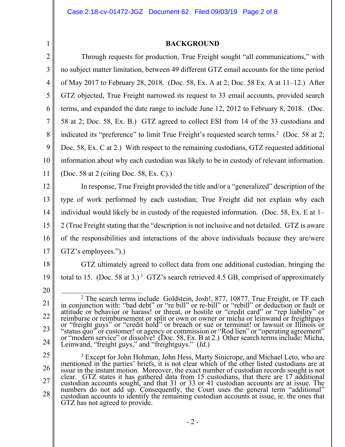1

## **BACKGROUND**

2 3 4 5 6 7 8 9 10 11 12 13 14 15 16 17 18 19 20 21 Through requests for production, True Freight sought "all communications," with no subject matter limitation, between 49 different GTZ email accounts for the time period of May 2017 to February 28, 2018. (Doc. 58, Ex. A at 2; Doc. 58 Ex. A at 11–12.) After GTZ objected, True Freight narrowed its request to 33 email accounts, provided search terms, and expanded the date range to include June 12, 2012 to February 8, 2018. (Doc. 58 at 2; Doc. 58, Ex. B.) GTZ agreed to collect ESI from 14 of the 33 custodians and indicated its "preference" to limit True Freight's requested search terms.<sup>2</sup> (Doc. 58 at 2; Doc. 58, Ex. C at 2.) With respect to the remaining custodians, GTZ requested additional information about why each custodian was likely to be in custody of relevant information. (Doc. 58 at 2 (citing Doc. 58, Ex. C).) In response, True Freight provided the title and/or a "generalized" description of the type of work performed by each custodian; True Freight did not explain why each individual would likely be in custody of the requested information. (Doc. 58, Ex. E at 1– 2 (True Freight stating that the "description is not inclusive and not detailed. GTZ is aware of the responsibilities and interactions of the above individuals because they are/were GTZ's employees.").) GTZ ultimately agreed to collect data from one additional custodian, bringing the total to 15. (Doc. 58 at 3.)<sup>3</sup> GTZ's search retrieved 4.5 GB, comprised of approximately 2

<sup>22</sup>  23 24 <sup>2</sup> The search terms include Goldstein, Josh!, 877, 10877, True Freight, or TF each in conjunction with: "bad debt" or "re bill" or re-bill" or "rebill" or deduction or fault or attitude or behavior or harass! or threat, o reimburse or reimbursement or split or own or owner or micha or leinwand or freightguys<br>or "freight guys" or "credit hold" or breach or sue or terminat! or lawsuit or Illinois or<br>"status quo" or customer! or agency or comm "status quo" or customer! or agency or commission or "Rod lien" or "operating agreement"<br>or "modern service" or dissolve! (Doc. 58, Ex. B at 2.) Other search terms include: Micha, Leinwand, "freight guys," and "freightguys." (*Id.*)

<sup>25</sup>  26 27 28 <sup>3</sup> Except for John Hohman, John Hess, Marty Sinicrope, and Michael Leto, who are mentioned in the parties' briefs, it is not clear which of the other listed custodians are at issue in the instant motion. Moreover, the exact number of custodian records sought is not clear. GTZ states it has gathered data from 15 custodians, that there are 17 additional custodian accounts sought, and that 31 or 33 or 41 custodian accounts are at issue. The numbers do not add up. Consequently, the Court uses the general term "additional" custodian accounts to identify the remaining custodian accounts at issue, ie. the ones that GTZ has not agreed to provide.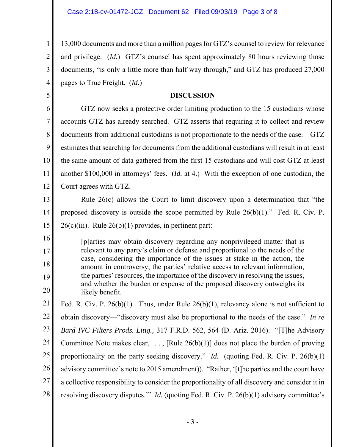1

2

3

4

5

13,000 documents and more than a million pages for GTZ's counsel to review for relevance and privilege. (*Id.*) GTZ's counsel has spent approximately 80 hours reviewing those documents, "is only a little more than half way through," and GTZ has produced 27,000 pages to True Freight. (*Id.*)

## **DISCUSSION**

6 7 8 9 10 11 12 GTZ now seeks a protective order limiting production to the 15 custodians whose accounts GTZ has already searched. GTZ asserts that requiring it to collect and review documents from additional custodians is not proportionate to the needs of the case. GTZ estimates that searching for documents from the additional custodians will result in at least the same amount of data gathered from the first 15 custodians and will cost GTZ at least another \$100,000 in attorneys' fees. (*Id.* at 4.) With the exception of one custodian, the Court agrees with GTZ.

13 14 15 Rule 26(c) allows the Court to limit discovery upon a determination that "the proposed discovery is outside the scope permitted by Rule 26(b)(1)." Fed. R. Civ. P.  $26(c)(iii)$ . Rule  $26(b)(1)$  provides, in pertinent part:

16 17 18 19 20 [p]arties may obtain discovery regarding any nonprivileged matter that is relevant to any party's claim or defense and proportional to the needs of the case, considering the importance of the issues at stake in the action, the amount in controversy, the parties' relative access to relevant information, the parties' resources, the importance of the discovery in resolving the issues, and whether the burden or expense of the proposed discovery outweighs its likely benefit.

21 22 23 24 25 26 27 28 Fed. R. Civ. P. 26(b)(1). Thus, under Rule  $26(b)(1)$ , relevancy alone is not sufficient to obtain discovery—"discovery must also be proportional to the needs of the case." *In re Bard IVC Filters Prods. Litig.,* 317 F.R.D. 562, 564 (D. Ariz. 2016). "[T]he Advisory Committee Note makes clear, ..., [Rule  $26(b)(1)$ ] does not place the burden of proving proportionality on the party seeking discovery." *Id.* (quoting Fed. R. Civ. P. 26(b)(1) advisory committee's note to 2015 amendment)). "Rather, '[t]he parties and the court have a collective responsibility to consider the proportionality of all discovery and consider it in resolving discovery disputes.'" *Id.* (quoting Fed. R. Civ. P. 26(b)(1) advisory committee's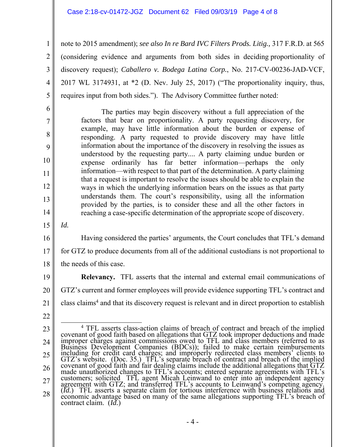## Case 2:18-cv-01472-JGZ Document 62 Filed 09/03/19 Page 4 of 8

2 note to 2015 amendment); *see also In re Bard IVC Filters Prods. Litig.,* 317 F.R.D. at 565 (considering evidence and arguments from both sides in deciding proportionality of discovery request); *Caballero v. Bodega Latina Corp.*, No. 217-CV-00236-JAD-VCF, 2017 WL 3174931, at \*2 (D. Nev. July 25, 2017) ("The proportionality inquiry, thus, requires input from both sides."). The Advisory Committee further noted:

 The parties may begin discovery without a full appreciation of the factors that bear on proportionality. A party requesting discovery, for example, may have little information about the burden or expense of responding. A party requested to provide discovery may have little information about the importance of the discovery in resolving the issues as understood by the requesting party.... A party claiming undue burden or expense ordinarily has far better information—perhaps the only information—with respect to that part of the determination. A party claiming that a request is important to resolve the issues should be able to explain the ways in which the underlying information bears on the issues as that party understands them. The court's responsibility, using all the information provided by the parties, is to consider these and all the other factors in reaching a case-specific determination of the appropriate scope of discovery.

15 *Id.*

1

3

4

5

6

7

8

9

10

11

12

13

14

16 17 18 Having considered the parties' arguments, the Court concludes that TFL's demand for GTZ to produce documents from all of the additional custodians is not proportional to the needs of this case.

19 20 21 **Relevancy.** TFL asserts that the internal and external email communications of GTZ's current and former employees will provide evidence supporting TFL's contract and class claims<sup>4</sup> and that its discovery request is relevant and in direct proportion to establish

22

<sup>23</sup>  24 25 26 27 28  $\overline{4}$ <sup>4</sup> TFL asserts class-action claims of breach of contract and breach of the implied<br>covenant of good faith based on allegations that GTZ took improper deductions and made<br>improper charges against commissions owed to TFL an including for credit card charges; and improperly redirected class members' clients to made unauthorized changes to TFL's accounts; entered separate agreements with TFL's customers; solicited TFL agent Micah Leinwand to enter into an independent agency agreement with GTZ; and transferred TFL's accounts to Le (*Id.*) TFL asserts a separate claim for tortious interference with business relations and economic advantage based on many of the same allegations supporting TFL's breach of contract claim. (*Id.*)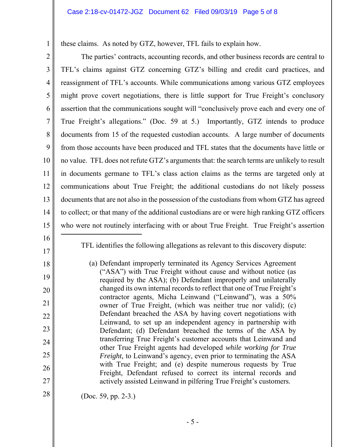these claims. As noted by GTZ, however, TFL fails to explain how.

2 3 4 5 6 7 8 9 10 11 12 13 14 15 16 17 18 19 20 21 The parties' contracts, accounting records, and other business records are central to TFL's claims against GTZ concerning GTZ's billing and credit card practices, and reassignment of TFL's accounts. While communications among various GTZ employees might prove covert negotiations, there is little support for True Freight's conclusory assertion that the communications sought will "conclusively prove each and every one of True Freight's allegations." (Doc. 59 at 5.) Importantly, GTZ intends to produce documents from 15 of the requested custodian accounts. A large number of documents from those accounts have been produced and TFL states that the documents have little or no value. TFL does not refute GTZ's arguments that: the search terms are unlikely to result in documents germane to TFL's class action claims as the terms are targeted only at communications about True Freight; the additional custodians do not likely possess documents that are not also in the possession of the custodians from whom GTZ has agreed to collect; or that many of the additional custodians are or were high ranking GTZ officers who were not routinely interfacing with or about True Freight. True Freight's assertion  $\overline{a}$ 

1

TFL identifies the following allegations as relevant to this discovery dispute:

- (a) Defendant improperly terminated its Agency Services Agreement ("ASA") with True Freight without cause and without notice (as required by the ASA); (b) Defendant improperly and unilaterally changed its own internal records to reflect that one of True Freight's contractor agents, Micha Leinwand ("Leinwand"), was a 50% owner of True Freight, (which was neither true nor valid); (c) Defendant breached the ASA by having covert negotiations with Leinwand, to set up an independent agency in partnership with Defendant; (d) Defendant breached the terms of the ASA by transferring True Freight's customer accounts that Leinwand and other True Freight agents had developed *while working for True Freight,* to Leinwand's agency, even prior to terminating the ASA with True Freight; and (e) despite numerous requests by True Freight, Defendant refused to correct its internal records and actively assisted Leinwand in pilfering True Freight's customers.
- 

22

23

24

25

26

27

28

(Doc. 59, pp. 2-3.)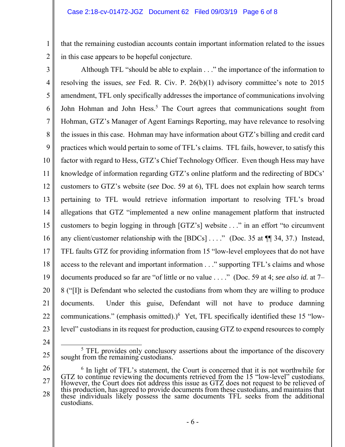that the remaining custodian accounts contain important information related to the issues in this case appears to be hopeful conjecture.

3 4 5 6 7 8 9 10 11 12 13 14 15 16 17 18 19 20 21 22 23 Although TFL "should be able to explain . . ." the importance of the information to resolving the issues, *see* Fed. R. Civ. P. 26(b)(1) advisory committee's note to 2015 amendment, TFL only specifically addresses the importance of communications involving John Hohman and John Hess.<sup>5</sup> The Court agrees that communications sought from Hohman, GTZ's Manager of Agent Earnings Reporting, may have relevance to resolving the issues in this case. Hohman may have information about GTZ's billing and credit card practices which would pertain to some of TFL's claims. TFL fails, however, to satisfy this factor with regard to Hess, GTZ's Chief Technology Officer. Even though Hess may have knowledge of information regarding GTZ's online platform and the redirecting of BDCs' customers to GTZ's website (*see* Doc. 59 at 6), TFL does not explain how search terms pertaining to TFL would retrieve information important to resolving TFL's broad allegations that GTZ "implemented a new online management platform that instructed customers to begin logging in through [GTZ's] website . . ." in an effort "to circumvent any client/customer relationship with the  $[BDCs]$ ...." (Doc. 35 at  $\P$  34, 37.) Instead, TFL faults GTZ for providing information from 15 "low-level employees that do not have access to the relevant and important information . . ." supporting TFL's claims and whose documents produced so far are "of little or no value . . . ." (Doc. 59 at 4; *see also id.* at 7– 8 ("[I]t is Defendant who selected the custodians from whom they are willing to produce documents. Under this guise, Defendant will not have to produce damning communications." (emphasis omitted).) $<sup>6</sup>$  Yet, TFL specifically identified these 15 "low-</sup> level" custodians in its request for production, causing GTZ to expend resources to comply

24

1

2

<sup>25</sup>   $rac{1}{5}$  $<sup>5</sup>$  TFL provides only conclusory assertions about the importance of the discovery sought from the remaining custodians.</sup>

<sup>26</sup>  27 28 <sup>6</sup> In light of TFL's statement, the Court is concerned that it is not worthwhile for GTZ to continue reviewing the documents retrieved from the 15 "low-level" custodians. However, the Court does not address this issue as GTZ does not request to be relieved of this production, has agreed to provide documents from these custodians, and maintains that these individuals likely possess the same documents TFL seeks from the additional custodians.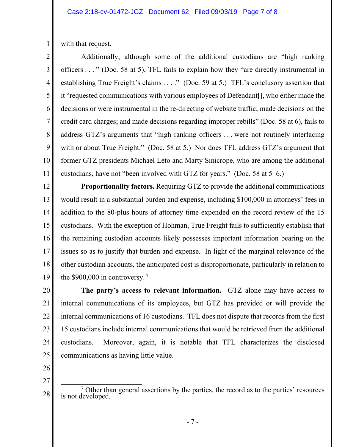with that request.

1

2

3

4

5

6

8

9

10

11

7 Additionally, although some of the additional custodians are "high ranking officers . . . " (Doc. 58 at 5), TFL fails to explain how they "are directly instrumental in establishing True Freight's claims . . . ." (Doc. 59 at 5.) TFL's conclusory assertion that it "requested communications with various employees of Defendant[], who either made the decisions or were instrumental in the re-directing of website traffic; made decisions on the credit card charges; and made decisions regarding improper rebills" (Doc. 58 at 6), fails to address GTZ's arguments that "high ranking officers . . . were not routinely interfacing with or about True Freight." (Doc. 58 at 5.) Nor does TFL address GTZ's argument that former GTZ presidents Michael Leto and Marty Sinicrope, who are among the additional custodians, have not "been involved with GTZ for years." (Doc. 58 at 5–6.)

12 13 14 15 16 17 18 19 **Proportionality factors.** Requiring GTZ to provide the additional communications would result in a substantial burden and expense, including \$100,000 in attorneys' fees in addition to the 80-plus hours of attorney time expended on the record review of the 15 custodians. With the exception of Hohman, True Freight fails to sufficiently establish that the remaining custodian accounts likely possesses important information bearing on the issues so as to justify that burden and expense. In light of the marginal relevance of the other custodian accounts, the anticipated cost is disproportionate, particularly in relation to the  $$900,000$  in controversy.<sup>7</sup>

20 21 22 23 24 25 **The party's access to relevant information.** GTZ alone may have access to internal communications of its employees, but GTZ has provided or will provide the internal communications of 16 custodians. TFL does not dispute that records from the first 15 custodians include internal communications that would be retrieved from the additional custodians. Moreover, again, it is notable that TFL characterizes the disclosed communications as having little value.

26

27

28  $\overline{7}$  $\frac{7}{10}$  Other than general assertions by the parties, the record as to the parties' resources is not developed.